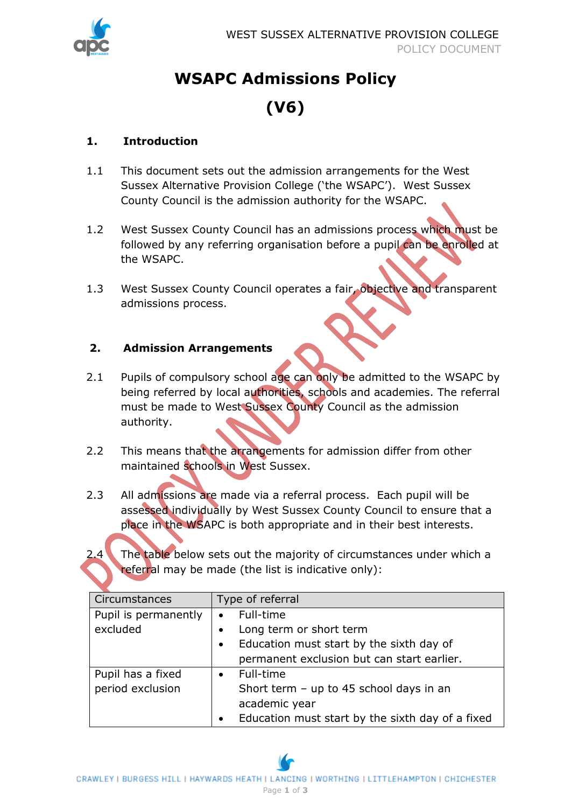

# **WSAPC Admissions Policy (V6)**

### **1. Introduction**

- 1.1 This document sets out the admission arrangements for the West Sussex Alternative Provision College ('the WSAPC'). West Sussex County Council is the admission authority for the WSAPC.
- 1.2 West Sussex County Council has an admissions process which must be followed by any referring organisation before a pupil can be enrolled at the WSAPC.
- 1.3 West Sussex County Council operates a fair, objective and transparent admissions process.

### **2. Admission Arrangements**

- 2.1 Pupils of compulsory school age can only be admitted to the WSAPC by being referred by local authorities, schools and academies. The referral must be made to West Sussex County Council as the admission authority.
- 2.2 This means that the arrangements for admission differ from other maintained schools in West Sussex.
- 2.3 All admissions are made via a referral process. Each pupil will be assessed individually by West Sussex County Council to ensure that a place in the WSAPC is both appropriate and in their best interests.



The table below sets out the majority of circumstances under which a referral may be made (the list is indicative only):

| Circumstances        | Type of referral                                              |
|----------------------|---------------------------------------------------------------|
| Pupil is permanently | Full-time<br>$\bullet$                                        |
| excluded             | Long term or short term<br>$\bullet$                          |
|                      | Education must start by the sixth day of<br>$\bullet$         |
|                      | permanent exclusion but can start earlier.                    |
| Pupil has a fixed    | Full-time<br>$\bullet$                                        |
| period exclusion     | Short term $-$ up to 45 school days in an                     |
|                      | academic year                                                 |
|                      | Education must start by the sixth day of a fixed<br>$\bullet$ |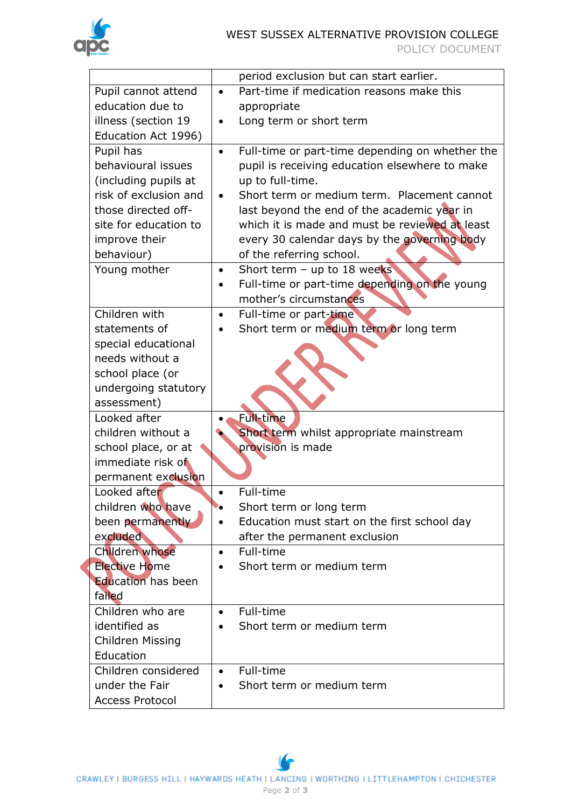|                           | period exclusion but can start earlier.                      |
|---------------------------|--------------------------------------------------------------|
| Pupil cannot attend       | Part-time if medication reasons make this<br>$\bullet$       |
| education due to          | appropriate                                                  |
| illness (section 19       | Long term or short term                                      |
| Education Act 1996)       |                                                              |
| Pupil has                 | Full-time or part-time depending on whether the<br>$\bullet$ |
| behavioural issues        | pupil is receiving education elsewhere to make               |
| (including pupils at      | up to full-time.                                             |
| risk of exclusion and     | Short term or medium term. Placement cannot<br>$\bullet$     |
| those directed off-       | last beyond the end of the academic year in                  |
| site for education to     | which it is made and must be reviewed at least               |
| improve their             | every 30 calendar days by the governing body                 |
| behaviour)                | of the referring school.                                     |
| Young mother              | Short term - up to 18 weeks<br>$\bullet$                     |
|                           | Full-time or part-time depending on the young<br>٠           |
|                           | mother's circumstances                                       |
| Children with             | Full-time or part-time<br>$\bullet$                          |
| statements of             | Short term or medium term or long term                       |
| special educational       |                                                              |
| needs without a           |                                                              |
| school place (or          |                                                              |
| undergoing statutory      |                                                              |
| assessment)               |                                                              |
| Looked after              | Full-time                                                    |
| children without a        | Short term whilst appropriate mainstream                     |
| school place, or at       | provision is made                                            |
| immediate risk of         |                                                              |
| permanent exclusion       |                                                              |
| Looked after              | Full-time                                                    |
| children who have         | Short term or long term<br>∙∙                                |
| been permanently          | Education must start on the first school day                 |
| excluded                  | after the permanent exclusion                                |
| Children whose            | Full-time<br>$\bullet$                                       |
| <b>Elective Home</b>      | Short term or medium term                                    |
| <b>Education has been</b> |                                                              |
| failed                    |                                                              |
| Children who are          | Full-time                                                    |
| identified as             | Short term or medium term                                    |
| Children Missing          |                                                              |
| Education                 |                                                              |
| Children considered       | Full-time<br>$\bullet$                                       |
| under the Fair            | Short term or medium term                                    |
| <b>Access Protocol</b>    |                                                              |